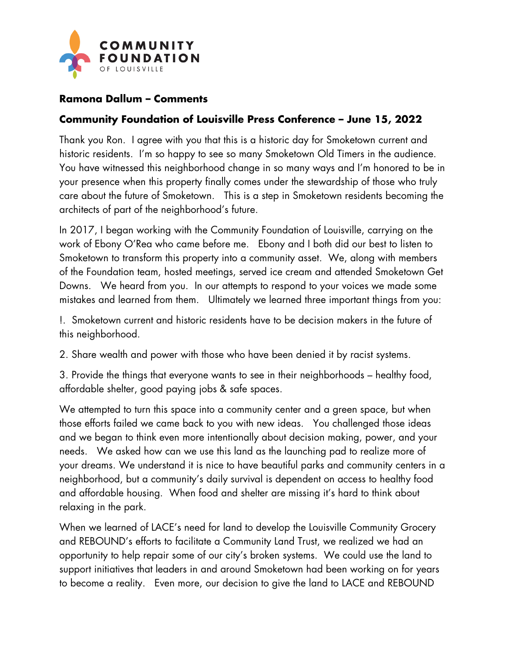

## **Ramona Dallum – Comments**

## **Community Foundation of Louisville Press Conference – June 15, 2022**

Thank you Ron. I agree with you that this is a historic day for Smoketown current and historic residents. I'm so happy to see so many Smoketown Old Timers in the audience. You have witnessed this neighborhood change in so many ways and I'm honored to be in your presence when this property finally comes under the stewardship of those who truly care about the future of Smoketown. This is a step in Smoketown residents becoming the architects of part of the neighborhood's future.

In 2017, I began working with the Community Foundation of Louisville, carrying on the work of Ebony O'Rea who came before me. Ebony and I both did our best to listen to Smoketown to transform this property into a community asset. We, along with members of the Foundation team, hosted meetings, served ice cream and attended Smoketown Get Downs. We heard from you. In our attempts to respond to your voices we made some mistakes and learned from them. Ultimately we learned three important things from you:

!. Smoketown current and historic residents have to be decision makers in the future of this neighborhood.

2. Share wealth and power with those who have been denied it by racist systems.

3. Provide the things that everyone wants to see in their neighborhoods – healthy food, affordable shelter, good paying jobs & safe spaces.

We attempted to turn this space into a community center and a green space, but when those efforts failed we came back to you with new ideas. You challenged those ideas and we began to think even more intentionally about decision making, power, and your needs. We asked how can we use this land as the launching pad to realize more of your dreams. We understand it is nice to have beautiful parks and community centers in a neighborhood, but a community's daily survival is dependent on access to healthy food and affordable housing. When food and shelter are missing it's hard to think about relaxing in the park.

When we learned of LACE's need for land to develop the Louisville Community Grocery and REBOUND's efforts to facilitate a Community Land Trust, we realized we had an opportunity to help repair some of our city's broken systems. We could use the land to support initiatives that leaders in and around Smoketown had been working on for years to become a reality. Even more, our decision to give the land to LACE and REBOUND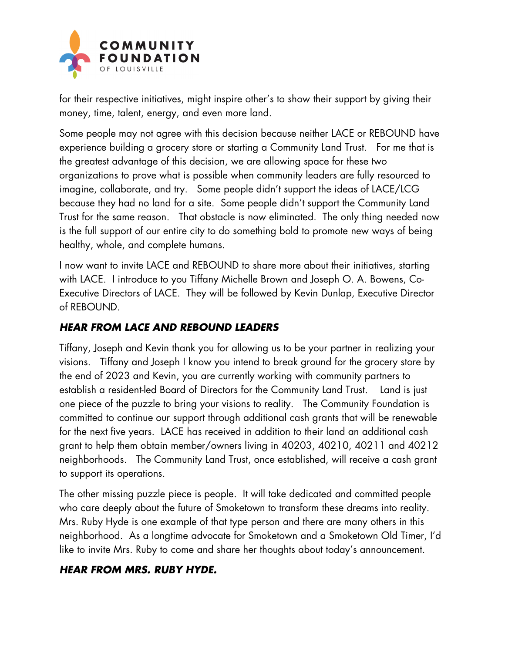

for their respective initiatives, might inspire other's to show their support by giving their money, time, talent, energy, and even more land.

Some people may not agree with this decision because neither LACE or REBOUND have experience building a grocery store or starting a Community Land Trust. For me that is the greatest advantage of this decision, we are allowing space for these two organizations to prove what is possible when community leaders are fully resourced to imagine, collaborate, and try. Some people didn't support the ideas of LACE/LCG because they had no land for a site. Some people didn't support the Community Land Trust for the same reason. That obstacle is now eliminated. The only thing needed now is the full support of our entire city to do something bold to promote new ways of being healthy, whole, and complete humans.

I now want to invite LACE and REBOUND to share more about their initiatives, starting with LACE. I introduce to you Tiffany Michelle Brown and Joseph O. A. Bowens, Co-Executive Directors of LACE. They will be followed by Kevin Dunlap, Executive Director of REBOUND.

## **HEAR FROM LACE AND REBOUND LEADERS**

Tiffany, Joseph and Kevin thank you for allowing us to be your partner in realizing your visions. Tiffany and Joseph I know you intend to break ground for the grocery store by the end of 2023 and Kevin, you are currently working with community partners to establish a resident-led Board of Directors for the Community Land Trust. Land is just one piece of the puzzle to bring your visions to reality. The Community Foundation is committed to continue our support through additional cash grants that will be renewable for the next five years. LACE has received in addition to their land an additional cash grant to help them obtain member/owners living in 40203, 40210, 40211 and 40212 neighborhoods. The Community Land Trust, once established, will receive a cash grant to support its operations.

The other missing puzzle piece is people. It will take dedicated and committed people who care deeply about the future of Smoketown to transform these dreams into reality. Mrs. Ruby Hyde is one example of that type person and there are many others in this neighborhood. As a longtime advocate for Smoketown and a Smoketown Old Timer, I'd like to invite Mrs. Ruby to come and share her thoughts about today's announcement.

## **HEAR FROM MRS. RUBY HYDE.**